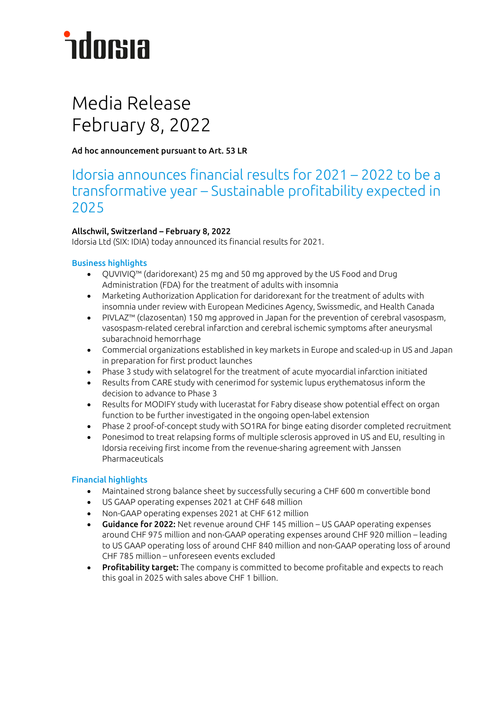## **ndorsia**

### Media Release February 8, 2022

Ad hoc announcement pursuant to Art. 53 LR

### Idorsia announces financial results for 2021 – 2022 to be a transformative year – Sustainable profitability expected in 2025

#### Allschwil, Switzerland – February 8, 2022

Idorsia Ltd (SIX: IDIA) today announced its financial results for 2021.

#### Business highlights

- QUVIVIQ™ (daridorexant) 25 mg and 50 mg approved by the US Food and Drug Administration (FDA) for the treatment of adults with insomnia
- Marketing Authorization Application for daridorexant for the treatment of adults with insomnia under review with European Medicines Agency, Swissmedic, and Health Canada
- PIVLAZ™ (clazosentan) 150 mg approved in Japan for the prevention of cerebral vasospasm, vasospasm-related cerebral infarction and cerebral ischemic symptoms after aneurysmal subarachnoid hemorrhage
- Commercial organizations established in key markets in Europe and scaled-up in US and Japan in preparation for first product launches
- Phase 3 study with selatogrel for the treatment of acute myocardial infarction initiated
- Results from CARE study with cenerimod for systemic lupus erythematosus inform the decision to advance to Phase 3
- Results for MODIFY study with lucerastat for Fabry disease show potential effect on organ function to be further investigated in the ongoing open-label extension
- Phase 2 proof-of-concept study with SO1RA for binge eating disorder completed recruitment
- Ponesimod to treat relapsing forms of multiple sclerosis approved in US and EU, resulting in Idorsia receiving first income from the revenue-sharing agreement with Janssen Pharmaceuticals

#### Financial highlights

- Maintained strong balance sheet by successfully securing a CHF 600 m convertible bond
- US GAAP operating expenses 2021 at CHF 648 million
- Non-GAAP operating expenses 2021 at CHF 612 million
- Guidance for 2022: Net revenue around CHF 145 million US GAAP operating expenses around CHF 975 million and non-GAAP operating expenses around CHF 920 million – leading to US GAAP operating loss of around CHF 840 million and non-GAAP operating loss of around CHF 785 million – unforeseen events excluded
- Profitability target: The company is committed to become profitable and expects to reach this goal in 2025 with sales above CHF 1 billion.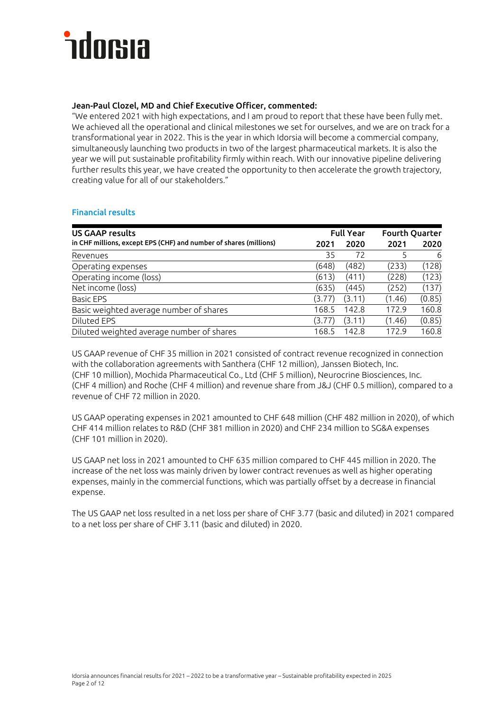#### Jean-Paul Clozel, MD and Chief Executive Officer, commented:

"We entered 2021 with high expectations, and I am proud to report that these have been fully met. We achieved all the operational and clinical milestones we set for ourselves, and we are on track for a transformational year in 2022. This is the year in which Idorsia will become a commercial company, simultaneously launching two products in two of the largest pharmaceutical markets. It is also the year we will put sustainable profitability firmly within reach. With our innovative pipeline delivering further results this year, we have created the opportunity to then accelerate the growth trajectory, creating value for all of our stakeholders."

#### Financial results

| <b>US GAAP results</b>                                            | <b>Full Year</b> |        |        | <b>Fourth Quarter</b> |  |
|-------------------------------------------------------------------|------------------|--------|--------|-----------------------|--|
| in CHF millions, except EPS (CHF) and number of shares (millions) | 2021             | 2020   | 2021   | 2020                  |  |
| Revenues                                                          | 35               | 72     |        | 6                     |  |
| Operating expenses                                                | (648)            | (482)  | (233)  | (128)                 |  |
| Operating income (loss)                                           | (613)            | (411)  | (228)  | (123)                 |  |
| Net income (loss)                                                 | (635)            | (445)  | (252)  | (137)                 |  |
| <b>Basic EPS</b>                                                  | (3.77)           | (3.11) | (1.46) | (0.85)                |  |
| Basic weighted average number of shares                           | 168.5            | 142.8  | 172.9  | 160.8                 |  |
| Diluted EPS                                                       | (3.77)           | (3.11) | (1.46) | (0.85)                |  |
| Diluted weighted average number of shares                         | 168.5            | 142.8  | 172.9  | 160.8                 |  |

US GAAP revenue of CHF 35 million in 2021 consisted of contract revenue recognized in connection with the collaboration agreements with Santhera (CHF 12 million), Janssen Biotech, Inc. (CHF 10 million), Mochida Pharmaceutical Co., Ltd (CHF 5 million), Neurocrine Biosciences, Inc. (CHF 4 million) and Roche (CHF 4 million) and revenue share from J&J (CHF 0.5 million), compared to a revenue of CHF 72 million in 2020.

US GAAP operating expenses in 2021 amounted to CHF 648 million (CHF 482 million in 2020), of which CHF 414 million relates to R&D (CHF 381 million in 2020) and CHF 234 million to SG&A expenses (CHF 101 million in 2020).

US GAAP net loss in 2021 amounted to CHF 635 million compared to CHF 445 million in 2020. The increase of the net loss was mainly driven by lower contract revenues as well as higher operating expenses, mainly in the commercial functions, which was partially offset by a decrease in financial expense.

The US GAAP net loss resulted in a net loss per share of CHF 3.77 (basic and diluted) in 2021 compared to a net loss per share of CHF 3.11 (basic and diluted) in 2020.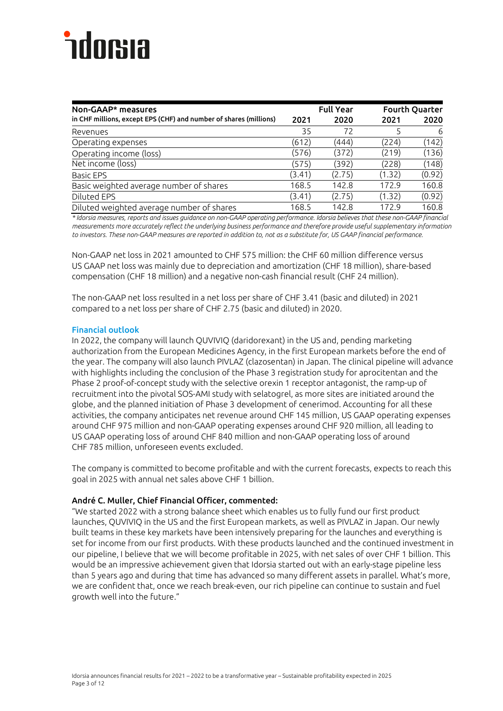| <b>Full Year</b><br>Non-GAAP* measures                            |        | <b>Fourth Quarter</b> |        |        |
|-------------------------------------------------------------------|--------|-----------------------|--------|--------|
| in CHF millions, except EPS (CHF) and number of shares (millions) | 2021   | 2020                  | 2021   | 2020   |
| Revenues                                                          | 35     | 72                    |        | 6      |
| Operating expenses                                                | (612)  | (444)                 | (224)  | (142)  |
| Operating income (loss)                                           | (576)  | (372)                 | (219)  | (136)  |
| Net income (loss)                                                 | (575)  | (392)                 | (228)  | (148)  |
| <b>Basic EPS</b>                                                  | (3.41) | (2.75)                | (1.32) | (0.92) |
| Basic weighted average number of shares                           | 168.5  | 142.8                 | 172.9  | 160.8  |
| Diluted EPS                                                       | (3.41) | (2.75)                | (1.32) | (0.92) |
| Diluted weighted average number of shares                         | 168.5  | 142.8                 | 1729   | 160.8  |

*\* Idorsia measures, reports and issues guidance on non-GAAP operating performance. Idorsia believes that these non-GAAP financial measurements more accurately reflect the underlying business performance and therefore provide useful supplementary information to investors. These non-GAAP measures are reported in addition to, not as a substitute for, US GAAP financial performance.*

Non-GAAP net loss in 2021 amounted to CHF 575 million: the CHF 60 million difference versus US GAAP net loss was mainly due to depreciation and amortization (CHF 18 million), share-based compensation (CHF 18 million) and a negative non-cash financial result (CHF 24 million).

The non-GAAP net loss resulted in a net loss per share of CHF 3.41 (basic and diluted) in 2021 compared to a net loss per share of CHF 2.75 (basic and diluted) in 2020.

#### Financial outlook

In 2022, the company will launch QUVIVIQ (daridorexant) in the US and, pending marketing authorization from the European Medicines Agency, in the first European markets before the end of the year. The company will also launch PIVLAZ (clazosentan) in Japan. The clinical pipeline will advance with highlights including the conclusion of the Phase 3 registration study for aprocitentan and the Phase 2 proof-of-concept study with the selective orexin 1 receptor antagonist, the ramp-up of recruitment into the pivotal SOS-AMI study with selatogrel, as more sites are initiated around the globe, and the planned initiation of Phase 3 development of cenerimod. Accounting for all these activities, the company anticipates net revenue around CHF 145 million, US GAAP operating expenses around CHF 975 million and non-GAAP operating expenses around CHF 920 million, all leading to US GAAP operating loss of around CHF 840 million and non-GAAP operating loss of around CHF 785 million, unforeseen events excluded.

The company is committed to become profitable and with the current forecasts, expects to reach this goal in 2025 with annual net sales above CHF 1 billion.

#### André C. Muller, Chief Financial Officer, commented:

"We started 2022 with a strong balance sheet which enables us to fully fund our first product launches, QUVIVIQ in the US and the first European markets, as well as PIVLAZ in Japan. Our newly built teams in these key markets have been intensively preparing for the launches and everything is set for income from our first products. With these products launched and the continued investment in our pipeline, I believe that we will become profitable in 2025, with net sales of over CHF 1 billion. This would be an impressive achievement given that Idorsia started out with an early-stage pipeline less than 5 years ago and during that time has advanced so many different assets in parallel. What's more, we are confident that, once we reach break-even, our rich pipeline can continue to sustain and fuel growth well into the future."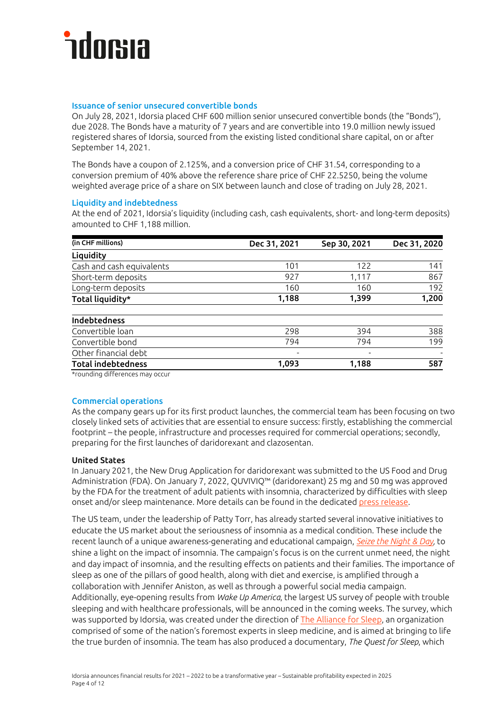#### Issuance of senior unsecured convertible bonds

On July 28, 2021, Idorsia placed CHF 600 million senior unsecured convertible bonds (the "Bonds"), due 2028. The Bonds have a maturity of 7 years and are convertible into 19.0 million newly issued registered shares of Idorsia, sourced from the existing listed conditional share capital, on or after September 14, 2021.

The Bonds have a coupon of 2.125%, and a conversion price of CHF 31.54, corresponding to a conversion premium of 40% above the reference share price of CHF 22.5250, being the volume weighted average price of a share on SIX between launch and close of trading on July 28, 2021.

#### Liquidity and indebtedness

At the end of 2021, Idorsia's liquidity (including cash, cash equivalents, short- and long-term deposits) amounted to CHF 1,188 million.

| (in CHF millions)                      | Dec 31, 2021 | Sep 30, 2021 | Dec 31, 2020 |
|----------------------------------------|--------------|--------------|--------------|
| Liquidity                              |              |              |              |
| Cash and cash equivalents              | 101          | 122          | 141          |
| Short-term deposits                    | 927          | 1,117        | 867          |
| Long-term deposits                     | 160          | 160          | 192          |
| Total liquidity*                       | 1,188        | 1,399        | 1,200        |
| Indebtedness                           |              |              |              |
| Convertible loan                       | 298          | 394          | 388          |
| Convertible bond                       | 794          | 794          | 199          |
| Other financial debt                   |              |              |              |
| <b>Total indebtedness</b>              | 1.093        | 1,188        | 587          |
| $\mathbf{a}$ $\mathbf{b}$ $\mathbf{c}$ |              |              |              |

\*rounding differences may occur

#### Commercial operations

As the company gears up for its first product launches, the commercial team has been focusing on two closely linked sets of activities that are essential to ensure success: firstly, establishing the commercial footprint – the people, infrastructure and processes required for commercial operations; secondly, preparing for the first launches of daridorexant and clazosentan.

#### United States

In January 2021, the New Drug Application for daridorexant was submitted to the US Food and Drug Administration (FDA). On January 7, 2022, QUVIVIQ™ (daridorexant) 25 mg and 50 mg was approved by the FDA for the treatment of adult patients with insomnia, characterized by difficulties with sleep onset and/or sleep maintenance. More details can be found in the dedicated [press release.](https://www.idorsia.com/media/news-details?newsId=2665386)

The US team, under the leadership of Patty Torr, has already started several innovative initiatives to educate the US market about the seriousness of insomnia as a medical condition. These include the recent launch of a unique awareness-generating and educational campaign, *[Seize the Night & Day,](https://www.idorsia.com/investors/news-and-events/media-release-details?newsId=2667731)* to shine a light on the impact of insomnia. The campaign's focus is on the current unmet need, the night and day impact of insomnia, and the resulting effects on patients and their families. The importance of sleep as one of the pillars of good health, along with diet and exercise, is amplified through a collaboration with Jennifer Aniston, as well as through a powerful social media campaign. Additionally, eye-opening results from *Wake Up America*, the largest US survey of people with trouble sleeping and with healthcare professionals, will be announced in the coming weeks. The survey, which was supported by Idorsia, was created under the direction of [The Alliance for Sleep,](https://www.idorsia.us/documents/us/media-releases/211202_the-alliance-for-sleep-announcement_final.pdf) an organization comprised of some of the nation's foremost experts in sleep medicine, and is aimed at bringing to life the true burden of insomnia. The team has also produced a documentary, *The Quest for Sleep*, which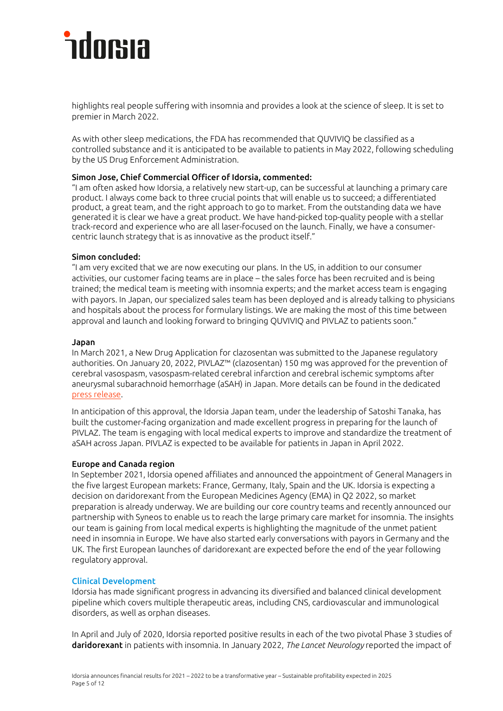### hdorua

highlights real people suffering with insomnia and provides a look at the science of sleep. It is set to premier in March 2022.

As with other sleep medications, the FDA has recommended that QUVIVIQ be classified as a controlled substance and it is anticipated to be available to patients in May 2022, following scheduling by the US Drug Enforcement Administration.

#### Simon Jose, Chief Commercial Officer of Idorsia, commented:

"I am often asked how Idorsia, a relatively new start-up, can be successful at launching a primary care product. I always come back to three crucial points that will enable us to succeed; a differentiated product, a great team, and the right approach to go to market. From the outstanding data we have generated it is clear we have a great product. We have hand-picked top-quality people with a stellar track-record and experience who are all laser-focused on the launch. Finally, we have a consumercentric launch strategy that is as innovative as the product itself."

#### Simon concluded:

"I am very excited that we are now executing our plans. In the US, in addition to our consumer activities, our customer facing teams are in place – the sales force has been recruited and is being trained; the medical team is meeting with insomnia experts; and the market access team is engaging with payors. In Japan, our specialized sales team has been deployed and is already talking to physicians and hospitals about the process for formulary listings. We are making the most of this time between approval and launch and looking forward to bringing QUVIVIQ and PIVLAZ to patients soon."

#### Japan

In March 2021, a New Drug Application for clazosentan was submitted to the Japanese regulatory authorities. On January 20, 2022, PIVLAZ™ (clazosentan) 150 mg was approved for the prevention of cerebral vasospasm, vasospasm-related cerebral infarction and cerebral ischemic symptoms after aneurysmal subarachnoid hemorrhage (aSAH) in Japan. More details can be found in the dedicated [press release.](https://www.idorsia.com/media/news-details?newsId=2672197)

In anticipation of this approval, the Idorsia Japan team, under the leadership of Satoshi Tanaka, has built the customer-facing organization and made excellent progress in preparing for the launch of PIVLAZ. The team is engaging with local medical experts to improve and standardize the treatment of aSAH across Japan. PIVLAZ is expected to be available for patients in Japan in April 2022.

#### Europe and Canada region

In September 2021, Idorsia opened affiliates and announced the appointment of General Managers in the five largest European markets: France, Germany, Italy, Spain and the UK. Idorsia is expecting a decision on daridorexant from the European Medicines Agency (EMA) in Q2 2022, so market preparation is already underway. We are building our core country teams and recently announced our partnership with Syneos to enable us to reach the large primary care market for insomnia. The insights our team is gaining from local medical experts is highlighting the magnitude of the unmet patient need in insomnia in Europe. We have also started early conversations with payors in Germany and the UK. The first European launches of daridorexant are expected before the end of the year following regulatory approval.

#### Clinical Development

Idorsia has made significant progress in advancing its diversified and balanced clinical development pipeline which covers multiple therapeutic areas, including CNS, cardiovascular and immunological disorders, as well as orphan diseases.

In April and July of 2020, Idorsia reported positive results in each of the two pivotal Phase 3 studies of daridorexant in patients with insomnia. In January 2022, *The Lancet Neurology* reported the impact of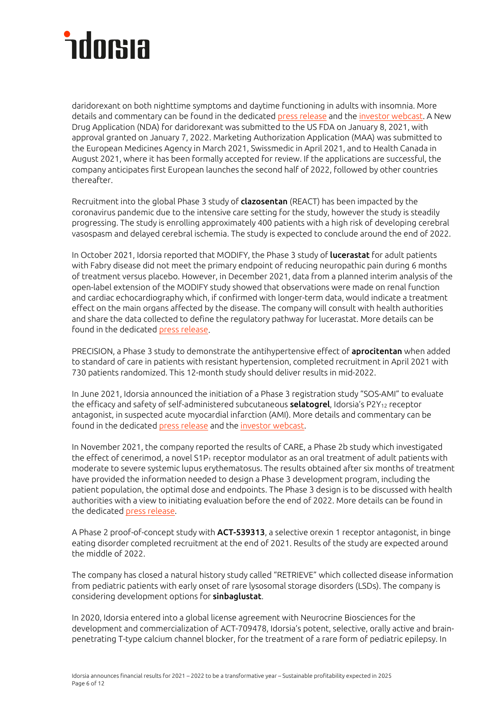daridorexant on both nighttime symptoms and daytime functioning in adults with insomnia. More details and commentary can be found in the dedicated [press release](https://www.idorsia.com/media/news-details?newsId=2672186) and the [investor webcast.](https://www.idorsia.com/investors/news-and-events/daridorexant-lancet) A New Drug Application (NDA) for daridorexant was submitted to the US FDA on January 8, 2021, with approval granted on January 7, 2022. Marketing Authorization Application (MAA) was submitted to the European Medicines Agency in March 2021, Swissmedic in April 2021, and to Health Canada in August 2021, where it has been formally accepted for review. If the applications are successful, the company anticipates first European launches the second half of 2022, followed by other countries thereafter.

Recruitment into the global Phase 3 study of **clazosentan** (REACT) has been impacted by the coronavirus pandemic due to the intensive care setting for the study, however the study is steadily progressing. The study is enrolling approximately 400 patients with a high risk of developing cerebral vasospasm and delayed cerebral ischemia. The study is expected to conclude around the end of 2022.

In October 2021, Idorsia reported that MODIFY, the Phase 3 study of lucerastat for adult patients with Fabry disease did not meet the primary endpoint of reducing neuropathic pain during 6 months of treatment versus placebo. However, in December 2021, data from a planned interim analysis of the open-label extension of the MODIFY study showed that observations were made on renal function and cardiac echocardiography which, if confirmed with longer-term data, would indicate a treatment effect on the main organs affected by the disease. The company will consult with health authorities and share the data collected to define the regulatory pathway for lucerastat. More details can be found in the dedicate[d press release.](https://www.idorsia.com/media/news-details?newsId=2651038)

PRECISION, a Phase 3 study to demonstrate the antihypertensive effect of **aprocitentan** when added to standard of care in patients with resistant hypertension, completed recruitment in April 2021 with 730 patients randomized. This 12-month study should deliver results in mid-2022.

In June 2021, Idorsia announced the initiation of a Phase 3 registration study "SOS-AMI" to evaluate the efficacy and safety of self-administered subcutaneous **selatogrel**, Idorsia's P2Y<sub>12</sub> receptor antagonist, in suspected acute myocardial infarction (AMI). More details and commentary can be found in the dedicate[d press release](https://www.idorsia.com/media/news-details?newsId=2545303) and the [investor webcast.](https://www.idorsia.com/investors/news-and-events/webcast-selatogrel)

In November 2021, the company reported the results of CARE, a Phase 2b study which investigated the effect of cenerimod, a novel  $S1P_1$  receptor modulator as an oral treatment of adult patients with moderate to severe systemic lupus erythematosus. The results obtained after six months of treatment have provided the information needed to design a Phase 3 development program, including the patient population, the optimal dose and endpoints. The Phase 3 design is to be discussed with health authorities with a view to initiating evaluation before the end of 2022. More details can be found in the dedicated **press release**.

A Phase 2 proof-of-concept study with ACT-539313, a selective orexin 1 receptor antagonist, in binge eating disorder completed recruitment at the end of 2021. Results of the study are expected around the middle of 2022.

The company has closed a natural history study called "RETRIEVE" which collected disease information from pediatric patients with early onset of rare lysosomal storage disorders (LSDs). The company is considering development options for sinbaglustat.

In 2020, Idorsia entered into a global license agreement with Neurocrine Biosciences for the development and commercialization of ACT-709478, Idorsia's potent, selective, orally active and brainpenetrating T-type calcium channel blocker, for the treatment of a rare form of pediatric epilepsy. In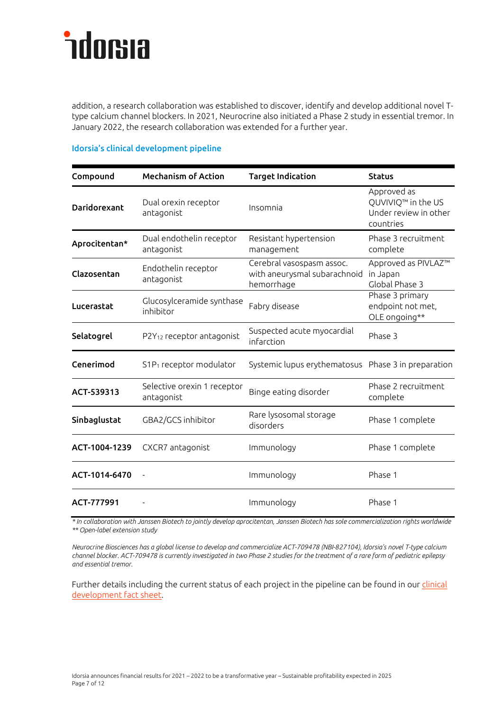addition, a research collaboration was established to discover, identify and develop additional novel Ttype calcium channel blockers. In 2021, Neurocrine also initiated a Phase 2 study in essential tremor. In January 2022, the research collaboration was extended for a further year.

| Compound            | <b>Mechanism of Action</b>                | <b>Target Indication</b>                                                | <b>Status</b>                                                           |
|---------------------|-------------------------------------------|-------------------------------------------------------------------------|-------------------------------------------------------------------------|
| <b>Daridorexant</b> | Dual orexin receptor<br>antagonist        | Insomnia                                                                | Approved as<br>QUVIVIQ™ in the US<br>Under review in other<br>countries |
| Aprocitentan*       | Dual endothelin receptor<br>antagonist    | Resistant hypertension<br>management                                    | Phase 3 recruitment<br>complete                                         |
| Clazosentan         | Endothelin receptor<br>antagonist         | Cerebral vasospasm assoc.<br>with aneurysmal subarachnoid<br>hemorrhage | Approved as PIVLAZ™<br>in Japan<br>Global Phase 3                       |
| Lucerastat          | Glucosylceramide synthase<br>inhibitor    | Fabry disease                                                           | Phase 3 primary<br>endpoint not met,<br>OLE ongoing**                   |
| Selatogrel          | P2Y <sub>12</sub> receptor antagonist     | Suspected acute myocardial<br>infarction                                | Phase 3                                                                 |
| Cenerimod           | S1P <sub>1</sub> receptor modulator       | Systemic lupus erythematosus  Phase 3 in preparation                    |                                                                         |
| ACT-539313          | Selective orexin 1 receptor<br>antagonist | Binge eating disorder                                                   | Phase 2 recruitment<br>complete                                         |
| Sinbaglustat        | GBA2/GCS inhibitor                        | Rare lysosomal storage<br>disorders                                     | Phase 1 complete                                                        |
| ACT-1004-1239       | CXCR7 antagonist                          | Immunology                                                              | Phase 1 complete                                                        |
| ACT-1014-6470       |                                           | Immunology                                                              | Phase 1                                                                 |
| ACT-777991          |                                           | Immunology                                                              | Phase 1                                                                 |

#### Idorsia's clinical development pipeline

*\* In collaboration with Janssen Biotech to jointly develop aprocitentan, Janssen Biotech has sole commercialization rights worldwide \*\* Open-label extension study*

*Neurocrine Biosciences has a global license to develop and commercialize ACT-709478 (NBI-827104), Idorsia's novel T-type calcium channel blocker. ACT-709478 is currently investigated in two Phase 2 studies for the treatment of a rare form of pediatric epilepsy and essential tremor.*

Further details including the current status of each project in the pipeline can be found in our clinical [development fact sheet.](https://www.idorsia.com/documents/com/fact-sheets-presentations/fs-clinical-development.pdf)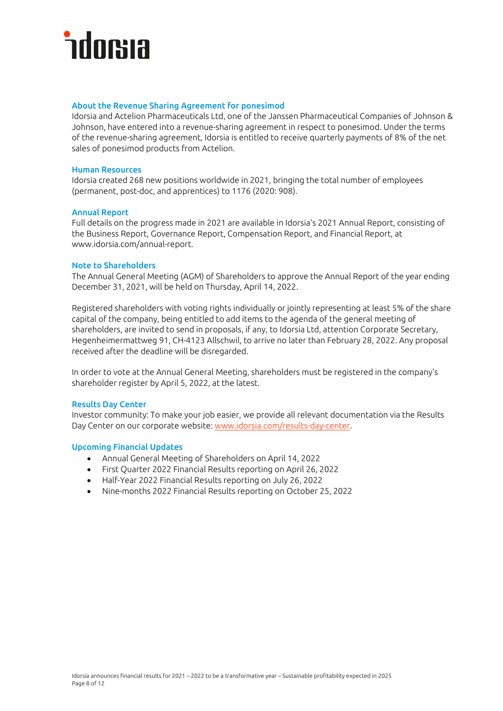#### About the Revenue Sharing Agreement for ponesimod

Idorsia and Actelion Pharmaceuticals Ltd, one of the Janssen Pharmaceutical Companies of Johnson & Johnson, have entered into a revenue-sharing agreement in respect to ponesimod. Under the terms of the revenue-sharing agreement, Idorsia is entitled to receive quarterly payments of 8% of the net sales of ponesimod products from Actelion.

#### Human Resources

Idorsia created 268 new positions worldwide in 2021, bringing the total number of employees (permanent, post-doc, and apprentices) to 1176 (2020: 908).

#### Annual Report

Full details on the progress made in 2021 are available in Idorsia's 2021 Annual Report, consisting of the Business Report, Governance Report, Compensation Report, and Financial Report, at www.idorsia.com/annual-report.

#### Note to Shareholders

The Annual General Meeting (AGM) of Shareholders to approve the Annual Report of the year ending December 31, 2021, will be held on Thursday, April 14, 2022.

Registered shareholders with voting rights individually or jointly representing at least 5% of the share capital of the company, being entitled to add items to the agenda of the general meeting of shareholders, are invited to send in proposals, if any, to Idorsia Ltd, attention Corporate Secretary, Hegenheimermattweg 91, CH-4123 Allschwil, to arrive no later than February 28, 2022. Any proposal received after the deadline will be disregarded.

In order to vote at the Annual General Meeting, shareholders must be registered in the company's shareholder register by April 5, 2022, at the latest.

#### Results Day Center

Investor community: To make your job easier, we provide all relevant documentation via the Results Day Center on our corporate website[: www.idorsia.com/results-day-center.](http://www.idorsia.com/results-day-center)

#### Upcoming Financial Updates

- Annual General Meeting of Shareholders on April 14, 2022
- First Quarter 2022 Financial Results reporting on April 26, 2022
- Half-Year 2022 Financial Results reporting on July 26, 2022
- Nine-months 2022 Financial Results reporting on October 25, 2022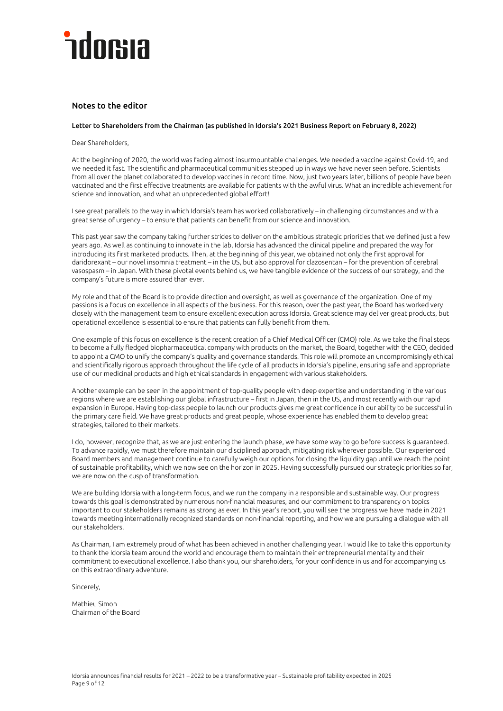### **ndorsia**

#### Notes to the editor

#### Letter to Shareholders from the Chairman (as published in Idorsia's 2021 Business Report on February 8, 2022)

Dear Shareholders,

At the beginning of 2020, the world was facing almost insurmountable challenges. We needed a vaccine against Covid-19, and we needed it fast. The scientific and pharmaceutical communities stepped up in ways we have never seen before. Scientists from all over the planet collaborated to develop vaccines in record time. Now, just two years later, billions of people have been vaccinated and the first effective treatments are available for patients with the awful virus. What an incredible achievement for science and innovation, and what an unprecedented global effort!

I see great parallels to the way in which Idorsia's team has worked collaboratively – in challenging circumstances and with a great sense of urgency – to ensure that patients can benefit from our science and innovation.

This past year saw the company taking further strides to deliver on the ambitious strategic priorities that we defined just a few years ago. As well as continuing to innovate in the lab, Idorsia has advanced the clinical pipeline and prepared the way for introducing its first marketed products. Then, at the beginning of this year, we obtained not only the first approval for daridorexant – our novel insomnia treatment – in the US, but also approval for clazosentan – for the prevention of cerebral vasospasm – in Japan. With these pivotal events behind us, we have tangible evidence of the success of our strategy, and the company's future is more assured than ever.

My role and that of the Board is to provide direction and oversight, as well as governance of the organization. One of my passions is a focus on excellence in all aspects of the business. For this reason, over the past year, the Board has worked very closely with the management team to ensure excellent execution across Idorsia. Great science may deliver great products, but operational excellence is essential to ensure that patients can fully benefit from them.

One example of this focus on excellence is the recent creation of a Chief Medical Officer (CMO) role. As we take the final steps to become a fully fledged biopharmaceutical company with products on the market, the Board, together with the CEO, decided to appoint a CMO to unify the company's quality and governance standards. This role will promote an uncompromisingly ethical and scientifically rigorous approach throughout the life cycle of all products in Idorsia's pipeline, ensuring safe and appropriate use of our medicinal products and high ethical standards in engagement with various stakeholders.

Another example can be seen in the appointment of top-quality people with deep expertise and understanding in the various regions where we are establishing our global infrastructure – first in Japan, then in the US, and most recently with our rapid expansion in Europe. Having top-class people to launch our products gives me great confidence in our ability to be successful in the primary care field. We have great products and great people, whose experience has enabled them to develop great strategies, tailored to their markets.

I do, however, recognize that, as we are just entering the launch phase, we have some way to go before success is guaranteed. To advance rapidly, we must therefore maintain our disciplined approach, mitigating risk wherever possible. Our experienced Board members and management continue to carefully weigh our options for closing the liquidity gap until we reach the point of sustainable profitability, which we now see on the horizon in 2025. Having successfully pursued our strategic priorities so far, we are now on the cusp of transformation.

We are building Idorsia with a long-term focus, and we run the company in a responsible and sustainable way. Our progress towards this goal is demonstrated by numerous non-financial measures, and our commitment to transparency on topics important to our stakeholders remains as strong as ever. In this year's report, you will see the progress we have made in 2021 towards meeting internationally recognized standards on non-financial reporting, and how we are pursuing a dialogue with all our stakeholders.

As Chairman, I am extremely proud of what has been achieved in another challenging year. I would like to take this opportunity to thank the Idorsia team around the world and encourage them to maintain their entrepreneurial mentality and their commitment to executional excellence. I also thank you, our shareholders, for your confidence in us and for accompanying us on this extraordinary adventure.

Sincerely,

Mathieu Simon Chairman of the Board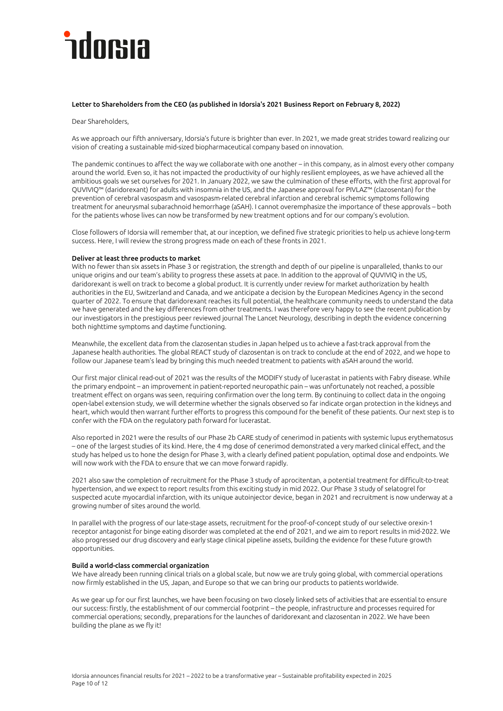### **ndorsia**

#### Letter to Shareholders from the CEO (as published in Idorsia's 2021 Business Report on February 8, 2022)

Dear Shareholders,

As we approach our fifth anniversary, Idorsia's future is brighter than ever. In 2021, we made great strides toward realizing our vision of creating a sustainable mid-sized biopharmaceutical company based on innovation.

The pandemic continues to affect the way we collaborate with one another – in this company, as in almost every other company around the world. Even so, it has not impacted the productivity of our highly resilient employees, as we have achieved all the ambitious goals we set ourselves for 2021. In January 2022, we saw the culmination of these efforts, with the first approval for QUVIVIQ™ (daridorexant) for adults with insomnia in the US, and the Japanese approval for PIVLAZ™ (clazosentan) for the prevention of cerebral vasospasm and vasospasm-related cerebral infarction and cerebral ischemic symptoms following treatment for aneurysmal subarachnoid hemorrhage (aSAH). I cannot overemphasize the importance of these approvals – both for the patients whose lives can now be transformed by new treatment options and for our company's evolution.

Close followers of Idorsia will remember that, at our inception, we defined five strategic priorities to help us achieve long-term success. Here, I will review the strong progress made on each of these fronts in 2021.

#### Deliver at least three products to market

With no fewer than six assets in Phase 3 or registration, the strength and depth of our pipeline is unparalleled, thanks to our unique origins and our team's ability to progress these assets at pace. In addition to the approval of QUVIVIQ in the US, daridorexant is well on track to become a global product. It is currently under review for market authorization by health authorities in the EU, Switzerland and Canada, and we anticipate a decision by the European Medicines Agency in the second quarter of 2022. To ensure that daridorexant reaches its full potential, the healthcare community needs to understand the data we have generated and the key differences from other treatments. I was therefore very happy to see the recent publication by our investigators in the prestigious peer reviewed journal The Lancet Neurology, describing in depth the evidence concerning both nighttime symptoms and daytime functioning.

Meanwhile, the excellent data from the clazosentan studies in Japan helped us to achieve a fast-track approval from the Japanese health authorities. The global REACT study of clazosentan is on track to conclude at the end of 2022, and we hope to follow our Japanese team's lead by bringing this much needed treatment to patients with aSAH around the world.

Our first major clinical read-out of 2021 was the results of the MODIFY study of lucerastat in patients with Fabry disease. While the primary endpoint – an improvement in patient-reported neuropathic pain – was unfortunately not reached, a possible treatment effect on organs was seen, requiring confirmation over the long term. By continuing to collect data in the ongoing open-label extension study, we will determine whether the signals observed so far indicate organ protection in the kidneys and heart, which would then warrant further efforts to progress this compound for the benefit of these patients. Our next step is to confer with the FDA on the regulatory path forward for lucerastat.

Also reported in 2021 were the results of our Phase 2b CARE study of cenerimod in patients with systemic lupus erythematosus – one of the largest studies of its kind. Here, the 4 mg dose of cenerimod demonstrated a very marked clinical effect, and the study has helped us to hone the design for Phase 3, with a clearly defined patient population, optimal dose and endpoints. We will now work with the FDA to ensure that we can move forward rapidly.

2021 also saw the completion of recruitment for the Phase 3 study of aprocitentan, a potential treatment for difficult-to-treat hypertension, and we expect to report results from this exciting study in mid 2022. Our Phase 3 study of selatogrel for suspected acute myocardial infarction, with its unique autoinjector device, began in 2021 and recruitment is now underway at a growing number of sites around the world.

In parallel with the progress of our late-stage assets, recruitment for the proof-of-concept study of our selective orexin-1 receptor antagonist for binge eating disorder was completed at the end of 2021, and we aim to report results in mid-2022. We also progressed our drug discovery and early stage clinical pipeline assets, building the evidence for these future growth opportunities.

#### Build a world-class commercial organization

We have already been running clinical trials on a global scale, but now we are truly going global, with commercial operations now firmly established in the US, Japan, and Europe so that we can bring our products to patients worldwide.

As we gear up for our first launches, we have been focusing on two closely linked sets of activities that are essential to ensure our success: firstly, the establishment of our commercial footprint – the people, infrastructure and processes required for commercial operations; secondly, preparations for the launches of daridorexant and clazosentan in 2022. We have been building the plane as we fly it!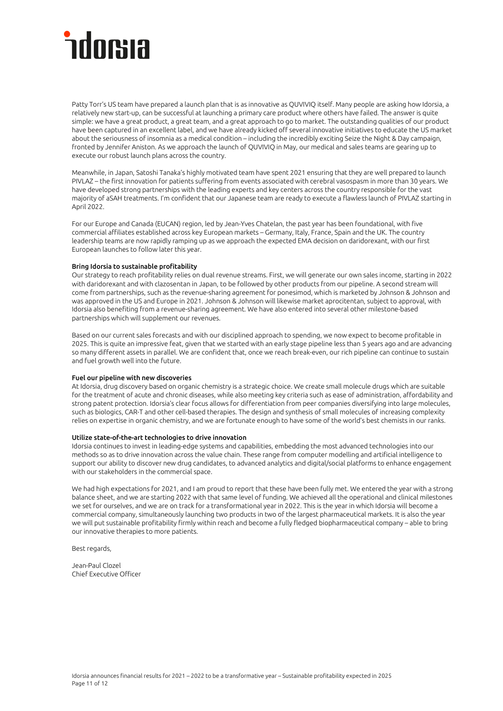### ndorsıa

Patty Torr's US team have prepared a launch plan that is as innovative as QUVIVIQ itself. Many people are asking how Idorsia, a relatively new start-up, can be successful at launching a primary care product where others have failed. The answer is quite simple: we have a great product, a great team, and a great approach to go to market. The outstanding qualities of our product have been captured in an excellent label, and we have already kicked off several innovative initiatives to educate the US market about the seriousness of insomnia as a medical condition – including the incredibly exciting Seize the Night & Day campaign, fronted by Jennifer Aniston. As we approach the launch of QUVIVIQ in May, our medical and sales teams are gearing up to execute our robust launch plans across the country.

Meanwhile, in Japan, Satoshi Tanaka's highly motivated team have spent 2021 ensuring that they are well prepared to launch PIVLAZ – the first innovation for patients suffering from events associated with cerebral vasospasm in more than 30 years. We have developed strong partnerships with the leading experts and key centers across the country responsible for the vast majority of aSAH treatments. I'm confident that our Japanese team are ready to execute a flawless launch of PIVLAZ starting in April 2022.

For our Europe and Canada (EUCAN) region, led by Jean-Yves Chatelan, the past year has been foundational, with five commercial affiliates established across key European markets – Germany, Italy, France, Spain and the UK. The country leadership teams are now rapidly ramping up as we approach the expected EMA decision on daridorexant, with our first European launches to follow later this year.

#### Bring Idorsia to sustainable profitability

Our strategy to reach profitability relies on dual revenue streams. First, we will generate our own sales income, starting in 2022 with daridorexant and with clazosentan in Japan, to be followed by other products from our pipeline. A second stream will come from partnerships, such as the revenue-sharing agreement for ponesimod, which is marketed by Johnson & Johnson and was approved in the US and Europe in 2021. Johnson & Johnson will likewise market aprocitentan, subject to approval, with Idorsia also benefiting from a revenue-sharing agreement. We have also entered into several other milestone-based partnerships which will supplement our revenues.

Based on our current sales forecasts and with our disciplined approach to spending, we now expect to become profitable in 2025. This is quite an impressive feat, given that we started with an early stage pipeline less than 5 years ago and are advancing so many different assets in parallel. We are confident that, once we reach break-even, our rich pipeline can continue to sustain and fuel growth well into the future.

#### Fuel our pipeline with new discoveries

At Idorsia, drug discovery based on organic chemistry is a strategic choice. We create small molecule drugs which are suitable for the treatment of acute and chronic diseases, while also meeting key criteria such as ease of administration, affordability and strong patent protection. Idorsia's clear focus allows for differentiation from peer companies diversifying into large molecules, such as biologics, CAR-T and other cell-based therapies. The design and synthesis of small molecules of increasing complexity relies on expertise in organic chemistry, and we are fortunate enough to have some of the world's best chemists in our ranks.

#### Utilize state-of-the-art technologies to drive innovation

Idorsia continues to invest in leading-edge systems and capabilities, embedding the most advanced technologies into our methods so as to drive innovation across the value chain. These range from computer modelling and artificial intelligence to support our ability to discover new drug candidates, to advanced analytics and digital/social platforms to enhance engagement with our stakeholders in the commercial space.

We had high expectations for 2021, and I am proud to report that these have been fully met. We entered the year with a strong balance sheet, and we are starting 2022 with that same level of funding. We achieved all the operational and clinical milestones we set for ourselves, and we are on track for a transformational year in 2022. This is the year in which Idorsia will become a commercial company, simultaneously launching two products in two of the largest pharmaceutical markets. It is also the year we will put sustainable profitability firmly within reach and become a fully fledged biopharmaceutical company – able to bring our innovative therapies to more patients.

Best regards,

Jean-Paul Clozel Chief Executive Officer